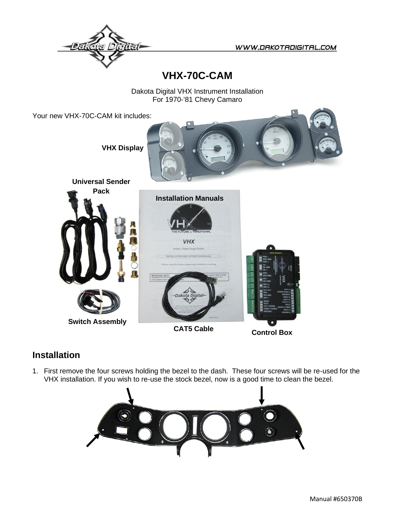

## **VHX-70C-CAM**

Dakota Digital VHX Instrument Installation For 1970-'81 Chevy Camaro

Your new VHX-70C-CAM kit includes: **VHX Display Universal Sender Pack Installation Manuals VHX** INSTALLATION AND OPERATION MANUA **Switch AssemblyControl Box CAT5 Cable**

## **Installation**

1. First remove the four screws holding the bezel to the dash. These four screws will be re-used for the VHX installation. If you wish to re-use the stock bezel, now is a good time to clean the bezel.

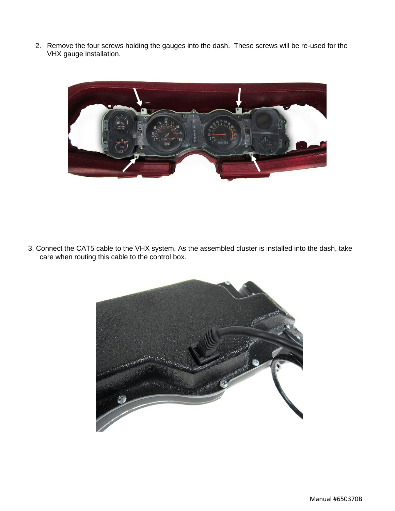2. Remove the four screws holding the gauges into the dash. These screws will be re-used for the VHX gauge installation.



3. Connect the CAT5 cable to the VHX system. As the assembled cluster is installed into the dash, take care when routing this cable to the control box.

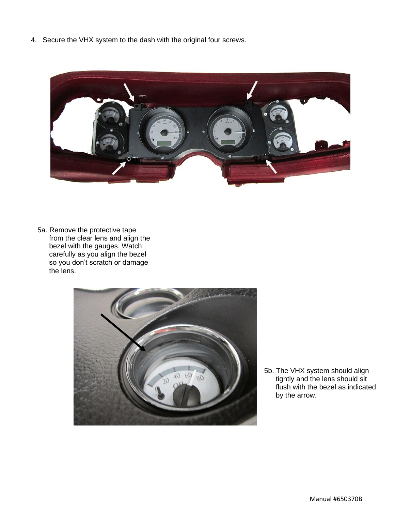4. Secure the VHX system to the dash with the original four screws.



5a. Remove the protective tape from the clear lens and align the bezel with the gauges. Watch carefully as you align the bezel so you don't scratch or damage the lens.



5b. The VHX system should align tightly and the lens should sit flush with the bezel as indicated by the arrow.